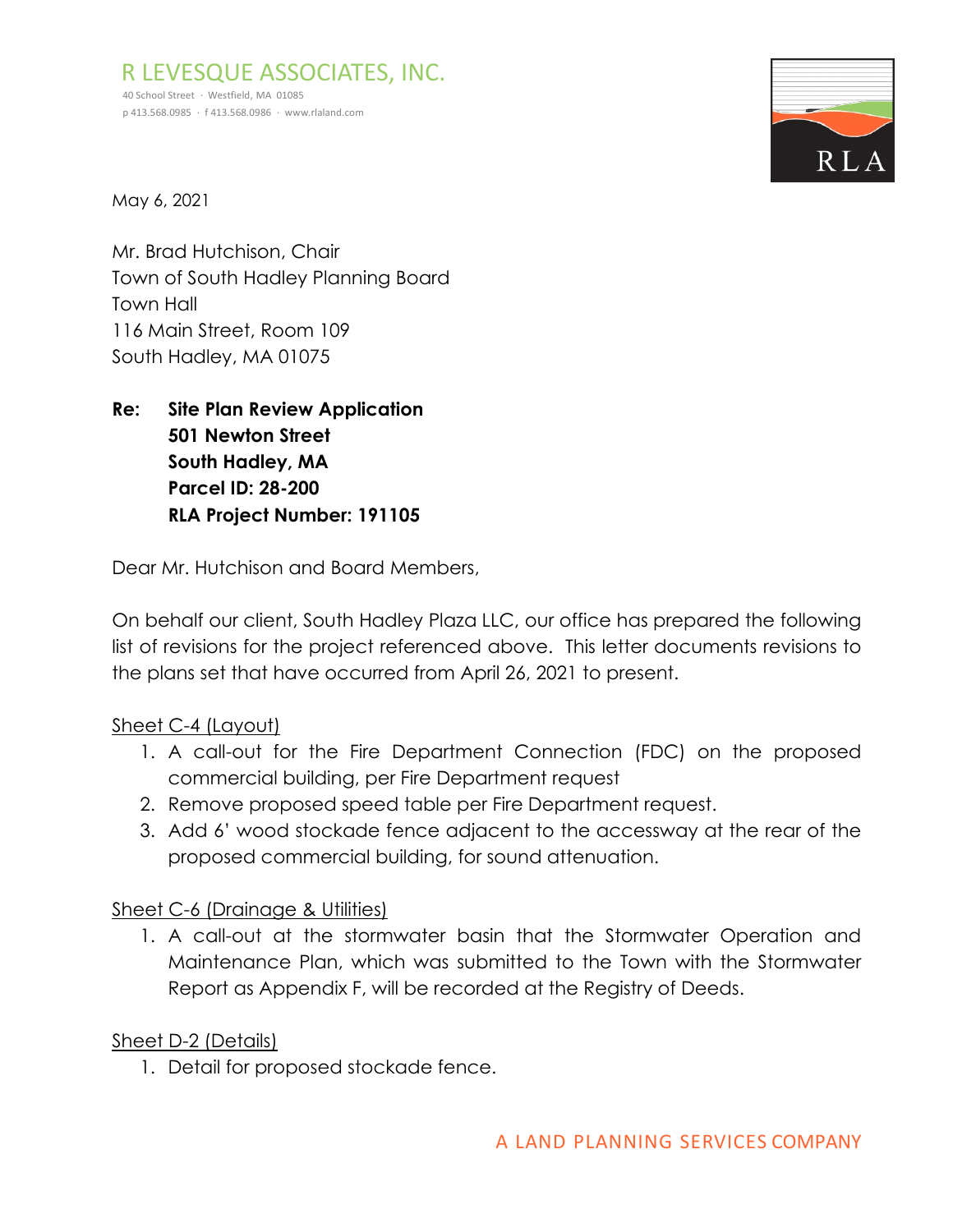R LEVESQUE ASSOCIATES, INC. 40 School Street · Westfield, MA 01085 p 413.568.0985 · f 413.568.0986 · [www.rlaland.com](http://www.rlaland.com/)



May 6, 2021

Mr. Brad Hutchison, Chair Town of South Hadley Planning Board Town Hall 116 Main Street, Room 109 South Hadley, MA 01075

**Re: Site Plan Review Application 501 Newton Street South Hadley, MA Parcel ID: 28-200 RLA Project Number: 191105**

Dear Mr. Hutchison and Board Members,

On behalf our client, South Hadley Plaza LLC, our office has prepared the following list of revisions for the project referenced above. This letter documents revisions to the plans set that have occurred from April 26, 2021 to present.

## Sheet C-4 (Layout)

- 1. A call-out for the Fire Department Connection (FDC) on the proposed commercial building, per Fire Department request
- 2. Remove proposed speed table per Fire Department request.
- 3. Add 6' wood stockade fence adjacent to the accessway at the rear of the proposed commercial building, for sound attenuation.

## Sheet C-6 (Drainage & Utilities)

1. A call-out at the stormwater basin that the Stormwater Operation and Maintenance Plan, which was submitted to the Town with the Stormwater Report as Appendix F, will be recorded at the Registry of Deeds.

## Sheet D-2 (Details)

1. Detail for proposed stockade fence.